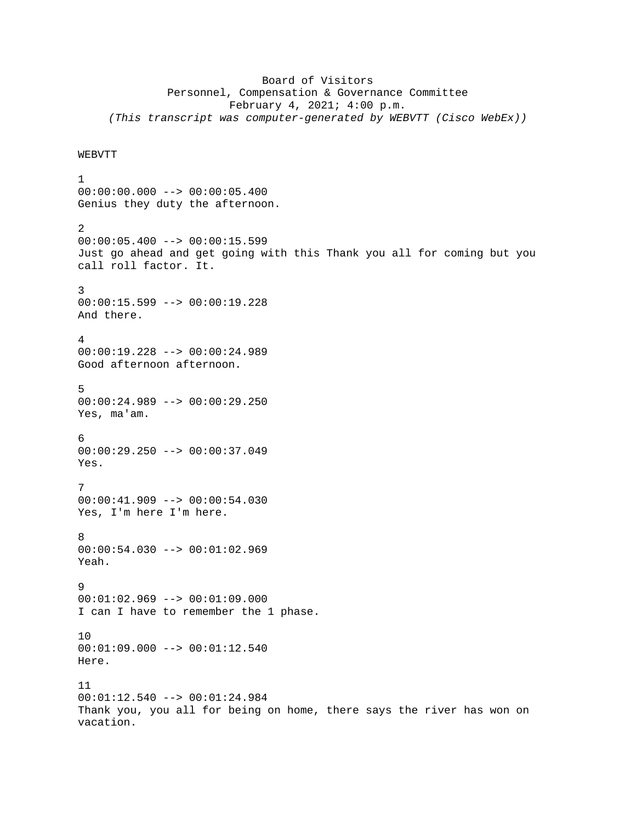Board of Visitors Personnel, Compensation & Governance Committee February 4, 2021; 4:00 p.m. *(This transcript was computer-generated by WEBVTT (Cisco WebEx))* 

## WEBVTT

1 00:00:00.000 --> 00:00:05.400 Genius they duty the afternoon. 2 00:00:05.400 --> 00:00:15.599 Just go ahead and get going with this Thank you all for coming but you call roll factor. It. 3 00:00:15.599 --> 00:00:19.228 And there. 4 00:00:19.228 --> 00:00:24.989 Good afternoon afternoon. 5 00:00:24.989 --> 00:00:29.250 Yes, ma'am. 6 00:00:29.250 --> 00:00:37.049 Yes. 7 00:00:41.909 --> 00:00:54.030 Yes, I'm here I'm here. 8 00:00:54.030 --> 00:01:02.969 Yeah. 9 00:01:02.969 --> 00:01:09.000 I can I have to remember the 1 phase. 10  $00:01:09.000$  -->  $00:01:12.540$ Here. 11 00:01:12.540 --> 00:01:24.984 Thank you, you all for being on home, there says the river has won on vacation.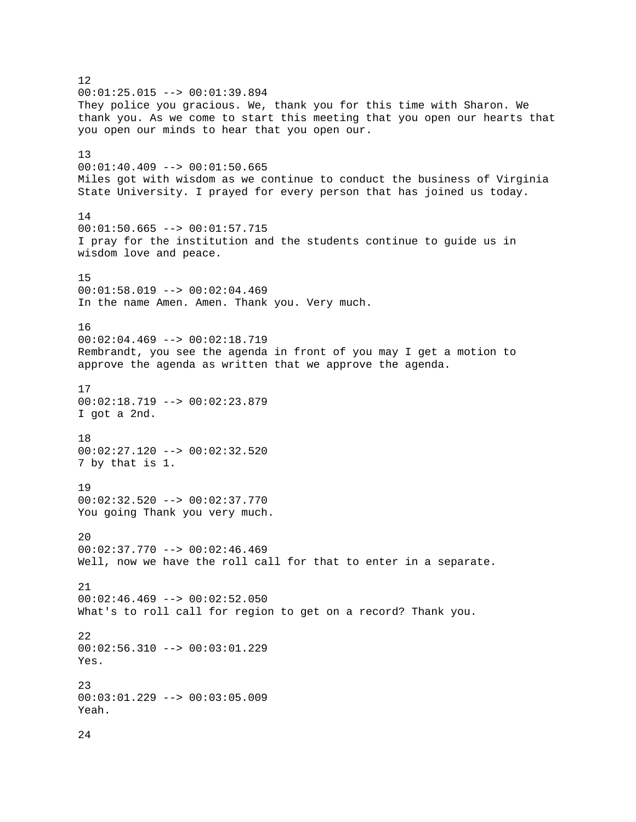12  $00:01:25.015$  -->  $00:01:39.894$ They police you gracious. We, thank you for this time with Sharon. We thank you. As we come to start this meeting that you open our hearts that you open our minds to hear that you open our. 13 00:01:40.409 --> 00:01:50.665 Miles got with wisdom as we continue to conduct the business of Virginia State University. I prayed for every person that has joined us today. 14  $00:01:50.665$  -->  $00:01:57.715$ I pray for the institution and the students continue to guide us in wisdom love and peace. 15  $00:01:58.019$  -->  $00:02:04.469$ In the name Amen. Amen. Thank you. Very much. 16  $00:02:04.469$  -->  $00:02:18.719$ Rembrandt, you see the agenda in front of you may I get a motion to approve the agenda as written that we approve the agenda. 17 00:02:18.719 --> 00:02:23.879 I got a 2nd. 18 00:02:27.120 --> 00:02:32.520 7 by that is 1. 19 00:02:32.520 --> 00:02:37.770 You going Thank you very much. 20  $00:02:37.770$  -->  $00:02:46.469$ Well, now we have the roll call for that to enter in a separate. 21  $00:02:46.469$  -->  $00:02:52.050$ What's to roll call for region to get on a record? Thank you. 22 00:02:56.310 --> 00:03:01.229 Yes.  $23$ 00:03:01.229 --> 00:03:05.009 Yeah.

24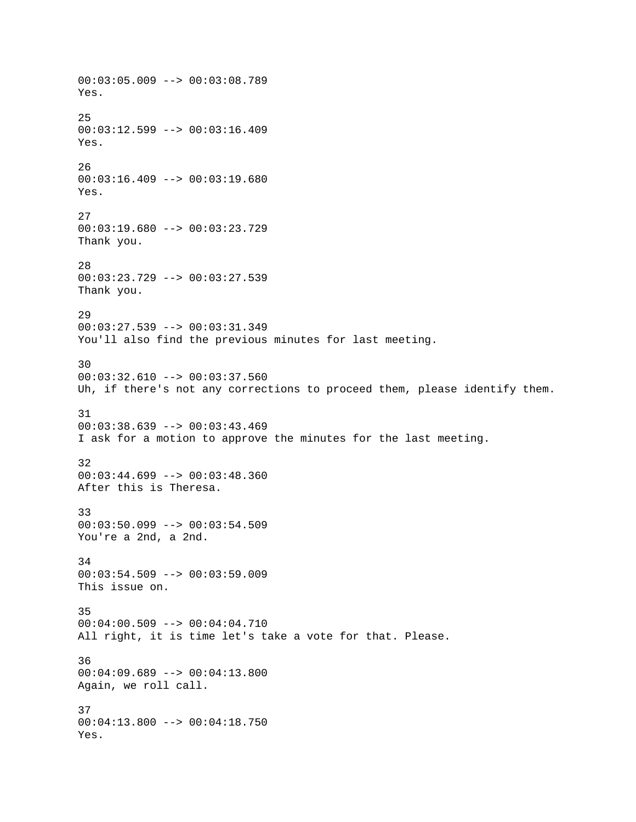00:03:05.009 --> 00:03:08.789 Yes. 25 00:03:12.599 --> 00:03:16.409 Yes. 26 00:03:16.409 --> 00:03:19.680 Yes. 27 00:03:19.680 --> 00:03:23.729 Thank you. 28 00:03:23.729 --> 00:03:27.539 Thank you. 29 00:03:27.539 --> 00:03:31.349 You'll also find the previous minutes for last meeting. 30 00:03:32.610 --> 00:03:37.560 Uh, if there's not any corrections to proceed them, please identify them. 31 00:03:38.639 --> 00:03:43.469 I ask for a motion to approve the minutes for the last meeting. 32 00:03:44.699 --> 00:03:48.360 After this is Theresa. 33 00:03:50.099 --> 00:03:54.509 You're a 2nd, a 2nd. 34  $00:03:54.509$  -->  $00:03:59.009$ This issue on. 35  $00:04:00.509$  -->  $00:04:04.710$ All right, it is time let's take a vote for that. Please. 36 00:04:09.689 --> 00:04:13.800 Again, we roll call. 37 00:04:13.800 --> 00:04:18.750 Yes.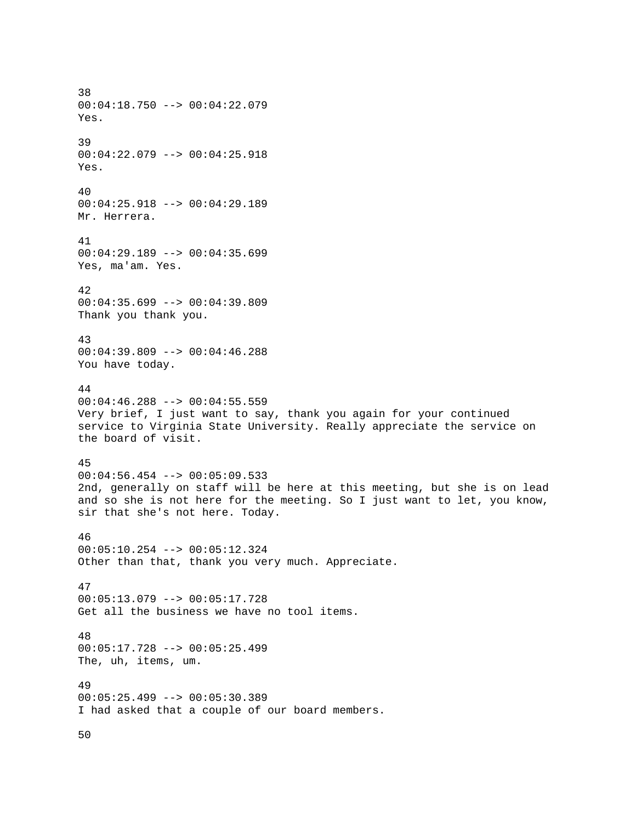38 00:04:18.750 --> 00:04:22.079 Yes. 39 00:04:22.079 --> 00:04:25.918 Yes. 40 00:04:25.918 --> 00:04:29.189 Mr. Herrera. 41 00:04:29.189 --> 00:04:35.699 Yes, ma'am. Yes. 42 00:04:35.699 --> 00:04:39.809 Thank you thank you. 43 00:04:39.809 --> 00:04:46.288 You have today. 44  $00:04:46.288$  -->  $00:04:55.559$ Very brief, I just want to say, thank you again for your continued service to Virginia State University. Really appreciate the service on the board of visit. 45  $00:04:56.454$  -->  $00:05:09.533$ 2nd, generally on staff will be here at this meeting, but she is on lead and so she is not here for the meeting. So I just want to let, you know, sir that she's not here. Today. 46 00:05:10.254 --> 00:05:12.324 Other than that, thank you very much. Appreciate. 47 00:05:13.079 --> 00:05:17.728 Get all the business we have no tool items. 48 00:05:17.728 --> 00:05:25.499 The, uh, items, um. 49 00:05:25.499 --> 00:05:30.389 I had asked that a couple of our board members.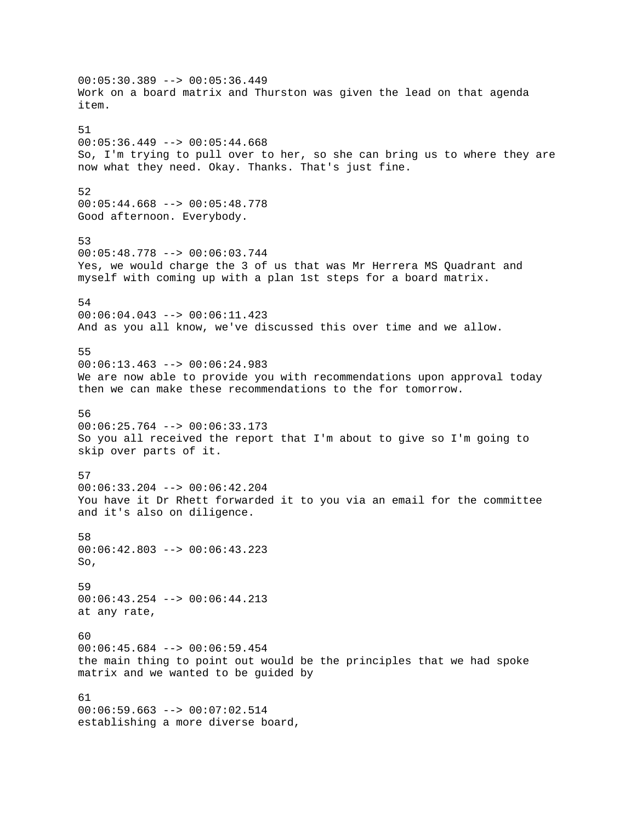00:05:30.389 --> 00:05:36.449 Work on a board matrix and Thurston was given the lead on that agenda item. 51  $00:05:36.449$  -->  $00:05:44.668$ So, I'm trying to pull over to her, so she can bring us to where they are now what they need. Okay. Thanks. That's just fine. 52 00:05:44.668 --> 00:05:48.778 Good afternoon. Everybody. 53 00:05:48.778 --> 00:06:03.744 Yes, we would charge the 3 of us that was Mr Herrera MS Quadrant and myself with coming up with a plan 1st steps for a board matrix. 54 00:06:04.043 --> 00:06:11.423 And as you all know, we've discussed this over time and we allow. 55  $00:06:13.463$  -->  $00:06:24.983$ We are now able to provide you with recommendations upon approval today then we can make these recommendations to the for tomorrow. 56 00:06:25.764 --> 00:06:33.173 So you all received the report that I'm about to give so I'm going to skip over parts of it. 57 00:06:33.204 --> 00:06:42.204 You have it Dr Rhett forwarded it to you via an email for the committee and it's also on diligence. 58 00:06:42.803 --> 00:06:43.223 So, 59 00:06:43.254 --> 00:06:44.213 at any rate, 60 00:06:45.684 --> 00:06:59.454 the main thing to point out would be the principles that we had spoke matrix and we wanted to be guided by 61  $00:06:59.663$  -->  $00:07:02.514$ establishing a more diverse board,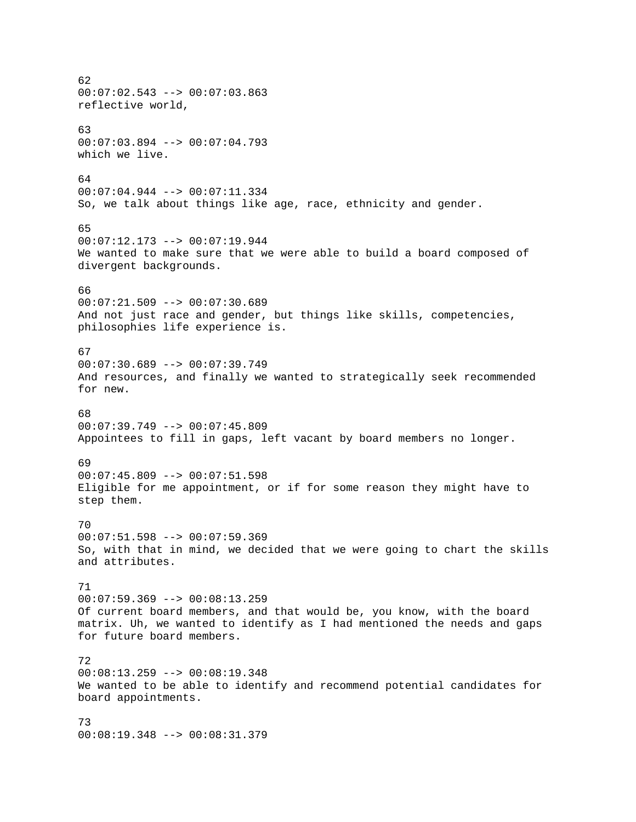62  $00:07:02.543$  -->  $00:07:03.863$ reflective world, 63 00:07:03.894 --> 00:07:04.793 which we live. 64 00:07:04.944 --> 00:07:11.334 So, we talk about things like age, race, ethnicity and gender. 65 00:07:12.173 --> 00:07:19.944 We wanted to make sure that we were able to build a board composed of divergent backgrounds. 66 00:07:21.509 --> 00:07:30.689 And not just race and gender, but things like skills, competencies, philosophies life experience is. 67 00:07:30.689 --> 00:07:39.749 And resources, and finally we wanted to strategically seek recommended for new. 68 00:07:39.749 --> 00:07:45.809 Appointees to fill in gaps, left vacant by board members no longer. 69 00:07:45.809 --> 00:07:51.598 Eligible for me appointment, or if for some reason they might have to step them. 70 00:07:51.598 --> 00:07:59.369 So, with that in mind, we decided that we were going to chart the skills and attributes. 71 00:07:59.369 --> 00:08:13.259 Of current board members, and that would be, you know, with the board matrix. Uh, we wanted to identify as I had mentioned the needs and gaps for future board members. 72 00:08:13.259 --> 00:08:19.348 We wanted to be able to identify and recommend potential candidates for board appointments. 73 00:08:19.348 --> 00:08:31.379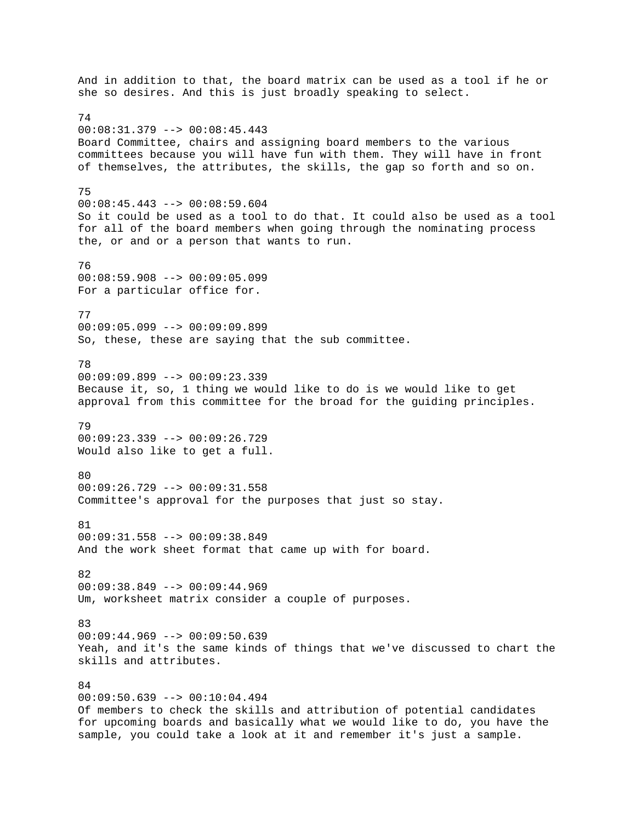And in addition to that, the board matrix can be used as a tool if he or she so desires. And this is just broadly speaking to select. 74 00:08:31.379 --> 00:08:45.443 Board Committee, chairs and assigning board members to the various committees because you will have fun with them. They will have in front of themselves, the attributes, the skills, the gap so forth and so on. 75 00:08:45.443 --> 00:08:59.604 So it could be used as a tool to do that. It could also be used as a tool for all of the board members when going through the nominating process the, or and or a person that wants to run. 76 00:08:59.908 --> 00:09:05.099 For a particular office for. 77 00:09:05.099 --> 00:09:09.899 So, these, these are saying that the sub committee. 78 00:09:09.899 --> 00:09:23.339 Because it, so, 1 thing we would like to do is we would like to get approval from this committee for the broad for the guiding principles. 79 00:09:23.339 --> 00:09:26.729 Would also like to get a full. 80  $00:09:26.729 --> 00:09:31.558$ Committee's approval for the purposes that just so stay. 81 00:09:31.558 --> 00:09:38.849 And the work sheet format that came up with for board. 82 00:09:38.849 --> 00:09:44.969 Um, worksheet matrix consider a couple of purposes. 83 00:09:44.969 --> 00:09:50.639 Yeah, and it's the same kinds of things that we've discussed to chart the skills and attributes. 84 00:09:50.639 --> 00:10:04.494 Of members to check the skills and attribution of potential candidates for upcoming boards and basically what we would like to do, you have the sample, you could take a look at it and remember it's just a sample.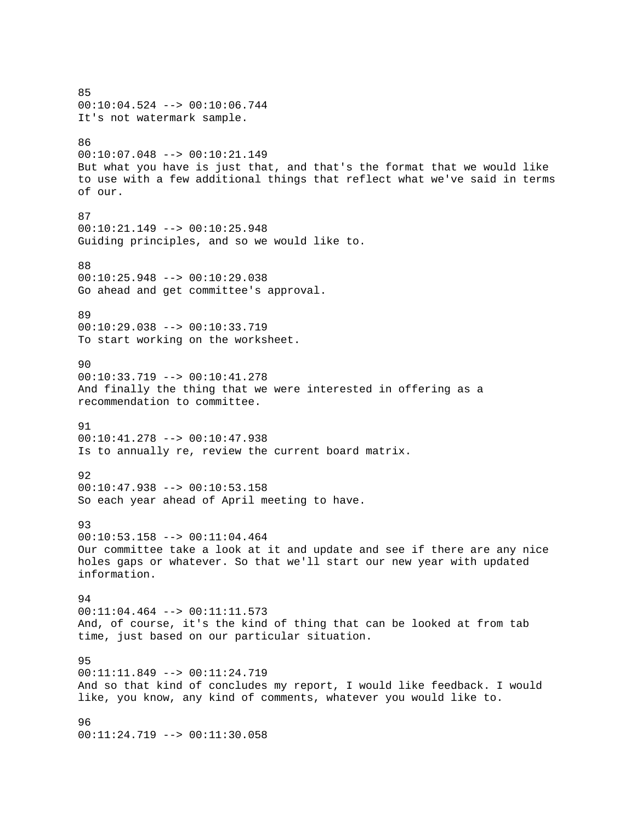85 00:10:04.524 --> 00:10:06.744 It's not watermark sample. 86 00:10:07.048 --> 00:10:21.149 But what you have is just that, and that's the format that we would like to use with a few additional things that reflect what we've said in terms of our. 87  $00:10:21.149$  -->  $00:10:25.948$ Guiding principles, and so we would like to. 88 00:10:25.948 --> 00:10:29.038 Go ahead and get committee's approval. 89 00:10:29.038 --> 00:10:33.719 To start working on the worksheet. 90 00:10:33.719 --> 00:10:41.278 And finally the thing that we were interested in offering as a recommendation to committee. 91 00:10:41.278 --> 00:10:47.938 Is to annually re, review the current board matrix. 92  $00:10:47.938$  -->  $00:10:53.158$ So each year ahead of April meeting to have. 93 00:10:53.158 --> 00:11:04.464 Our committee take a look at it and update and see if there are any nice holes gaps or whatever. So that we'll start our new year with updated information. 94 00:11:04.464 --> 00:11:11.573 And, of course, it's the kind of thing that can be looked at from tab time, just based on our particular situation. 95 00:11:11.849 --> 00:11:24.719 And so that kind of concludes my report, I would like feedback. I would like, you know, any kind of comments, whatever you would like to. 96 00:11:24.719 --> 00:11:30.058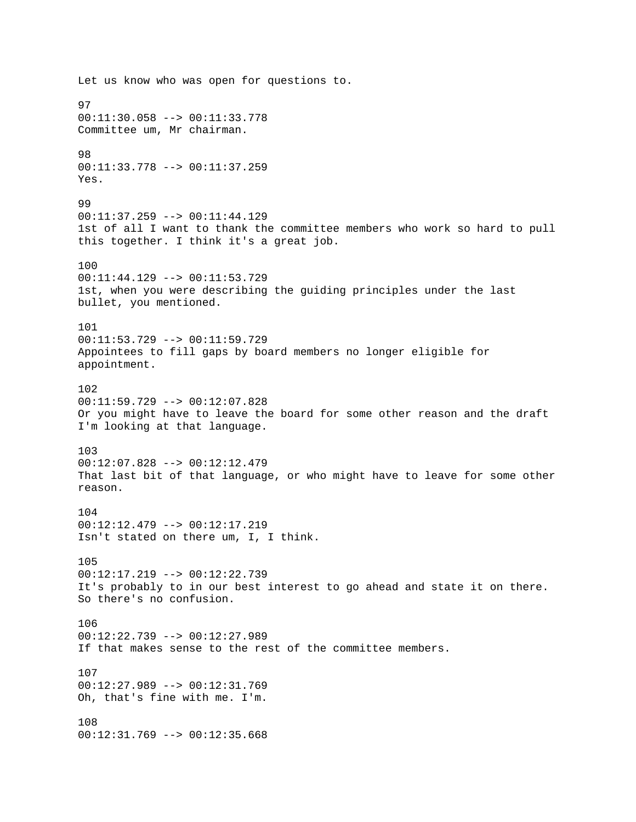Let us know who was open for questions to. 97 00:11:30.058 --> 00:11:33.778 Committee um, Mr chairman. 98 00:11:33.778 --> 00:11:37.259 Yes. 99 00:11:37.259 --> 00:11:44.129 1st of all I want to thank the committee members who work so hard to pull this together. I think it's a great job. 100 00:11:44.129 --> 00:11:53.729 1st, when you were describing the guiding principles under the last bullet, you mentioned. 101 00:11:53.729 --> 00:11:59.729 Appointees to fill gaps by board members no longer eligible for appointment. 102  $00:11:59.729 --> 00:12:07.828$ Or you might have to leave the board for some other reason and the draft I'm looking at that language. 103 00:12:07.828 --> 00:12:12.479 That last bit of that language, or who might have to leave for some other reason. 104 00:12:12.479 --> 00:12:17.219 Isn't stated on there um, I, I think. 105 00:12:17.219 --> 00:12:22.739 It's probably to in our best interest to go ahead and state it on there. So there's no confusion. 106 00:12:22.739 --> 00:12:27.989 If that makes sense to the rest of the committee members. 107 00:12:27.989 --> 00:12:31.769 Oh, that's fine with me. I'm. 108 00:12:31.769 --> 00:12:35.668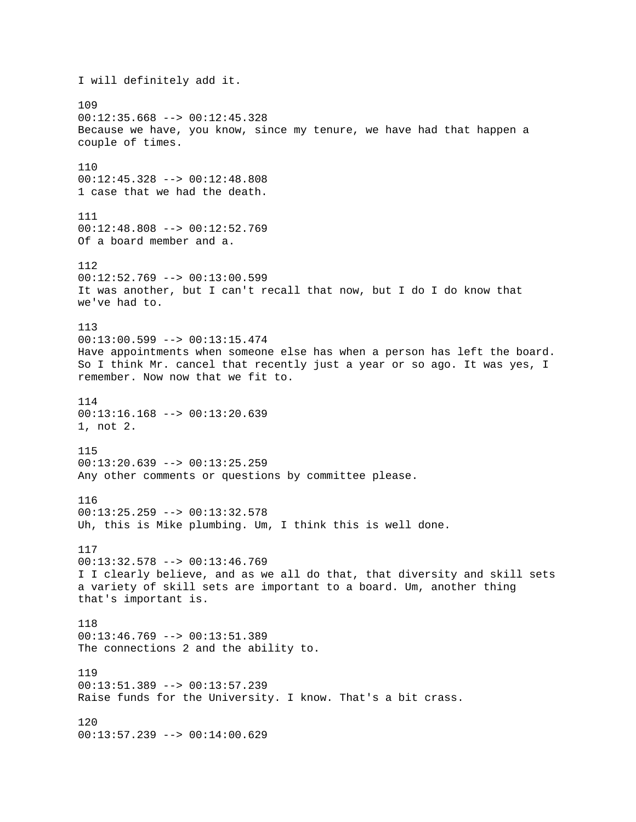I will definitely add it. 109 00:12:35.668 --> 00:12:45.328 Because we have, you know, since my tenure, we have had that happen a couple of times. 110 00:12:45.328 --> 00:12:48.808 1 case that we had the death. 111 00:12:48.808 --> 00:12:52.769 Of a board member and a. 112 00:12:52.769 --> 00:13:00.599 It was another, but I can't recall that now, but I do I do know that we've had to. 113  $00:13:00.599$  -->  $00:13:15.474$ Have appointments when someone else has when a person has left the board. So I think Mr. cancel that recently just a year or so ago. It was yes, I remember. Now now that we fit to. 114  $00:13:16.168$  -->  $00:13:20.639$ 1, not 2. 115 00:13:20.639 --> 00:13:25.259 Any other comments or questions by committee please. 116  $00:13:25.259$  -->  $00:13:32.578$ Uh, this is Mike plumbing. Um, I think this is well done. 117 00:13:32.578 --> 00:13:46.769 I I clearly believe, and as we all do that, that diversity and skill sets a variety of skill sets are important to a board. Um, another thing that's important is. 118 00:13:46.769 --> 00:13:51.389 The connections 2 and the ability to. 119 00:13:51.389 --> 00:13:57.239 Raise funds for the University. I know. That's a bit crass. 120 00:13:57.239 --> 00:14:00.629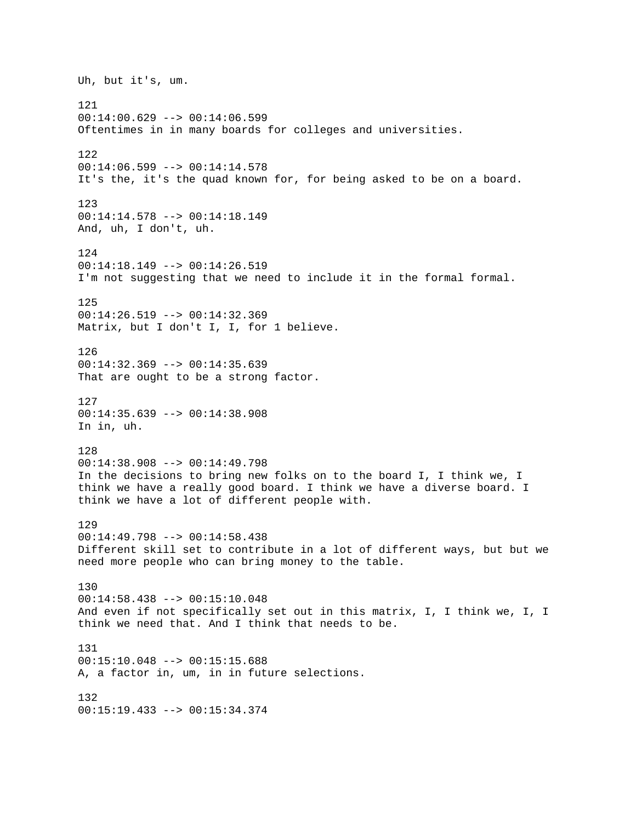Uh, but it's, um. 121  $00:14:00.629$  -->  $00:14:06.599$ Oftentimes in in many boards for colleges and universities. 122 00:14:06.599 --> 00:14:14.578 It's the, it's the quad known for, for being asked to be on a board. 123 00:14:14.578 --> 00:14:18.149 And, uh, I don't, uh. 124 00:14:18.149 --> 00:14:26.519 I'm not suggesting that we need to include it in the formal formal. 125 00:14:26.519 --> 00:14:32.369 Matrix, but I don't I, I, for 1 believe. 126 00:14:32.369 --> 00:14:35.639 That are ought to be a strong factor. 127  $00:14:35.639$  -->  $00:14:38.908$ In in, uh. 128 00:14:38.908 --> 00:14:49.798 In the decisions to bring new folks on to the board I, I think we, I think we have a really good board. I think we have a diverse board. I think we have a lot of different people with. 129 00:14:49.798 --> 00:14:58.438 Different skill set to contribute in a lot of different ways, but but we need more people who can bring money to the table. 130 00:14:58.438 --> 00:15:10.048 And even if not specifically set out in this matrix, I, I think we, I, I think we need that. And I think that needs to be. 131  $00:15:10.048$  -->  $00:15:15.688$ A, a factor in, um, in in future selections. 132 00:15:19.433 --> 00:15:34.374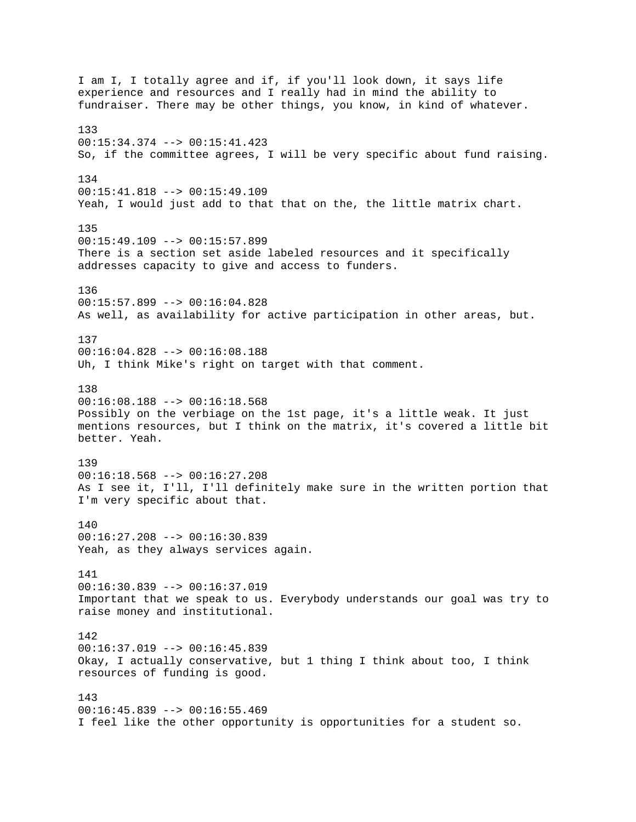I am I, I totally agree and if, if you'll look down, it says life experience and resources and I really had in mind the ability to fundraiser. There may be other things, you know, in kind of whatever. 133 00:15:34.374 --> 00:15:41.423 So, if the committee agrees, I will be very specific about fund raising. 134 00:15:41.818 --> 00:15:49.109 Yeah, I would just add to that that on the, the little matrix chart. 135 00:15:49.109 --> 00:15:57.899 There is a section set aside labeled resources and it specifically addresses capacity to give and access to funders. 136 00:15:57.899 --> 00:16:04.828 As well, as availability for active participation in other areas, but. 137 00:16:04.828 --> 00:16:08.188 Uh, I think Mike's right on target with that comment. 138 00:16:08.188 --> 00:16:18.568 Possibly on the verbiage on the 1st page, it's a little weak. It just mentions resources, but I think on the matrix, it's covered a little bit better. Yeah. 139 00:16:18.568 --> 00:16:27.208 As I see it, I'll, I'll definitely make sure in the written portion that I'm very specific about that. 140 00:16:27.208 --> 00:16:30.839 Yeah, as they always services again. 141 00:16:30.839 --> 00:16:37.019 Important that we speak to us. Everybody understands our goal was try to raise money and institutional. 142 00:16:37.019 --> 00:16:45.839 Okay, I actually conservative, but 1 thing I think about too, I think resources of funding is good. 143  $00:16:45.839$  -->  $00:16:55.469$ I feel like the other opportunity is opportunities for a student so.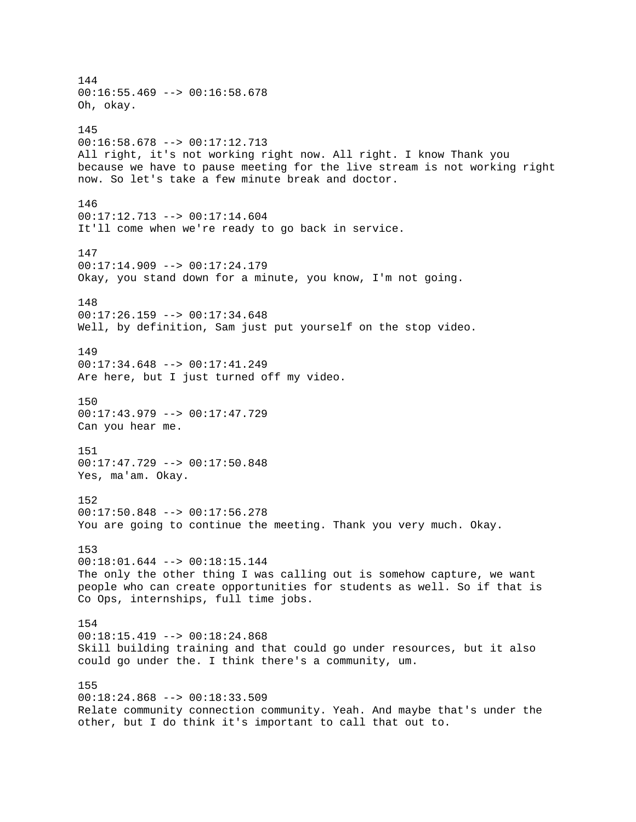144  $00:16:55.469$  -->  $00:16:58.678$ Oh, okay. 145 00:16:58.678 --> 00:17:12.713 All right, it's not working right now. All right. I know Thank you because we have to pause meeting for the live stream is not working right now. So let's take a few minute break and doctor. 146 00:17:12.713 --> 00:17:14.604 It'll come when we're ready to go back in service. 147  $00:17:14.909$  -->  $00:17:24.179$ Okay, you stand down for a minute, you know, I'm not going. 148 00:17:26.159 --> 00:17:34.648 Well, by definition, Sam just put yourself on the stop video. 149 00:17:34.648 --> 00:17:41.249 Are here, but I just turned off my video. 150 00:17:43.979 --> 00:17:47.729 Can you hear me. 151 00:17:47.729 --> 00:17:50.848 Yes, ma'am. Okay. 152 00:17:50.848 --> 00:17:56.278 You are going to continue the meeting. Thank you very much. Okay. 153 00:18:01.644 --> 00:18:15.144 The only the other thing I was calling out is somehow capture, we want people who can create opportunities for students as well. So if that is Co Ops, internships, full time jobs. 154 00:18:15.419 --> 00:18:24.868 Skill building training and that could go under resources, but it also could go under the. I think there's a community, um. 155 00:18:24.868 --> 00:18:33.509 Relate community connection community. Yeah. And maybe that's under the other, but I do think it's important to call that out to.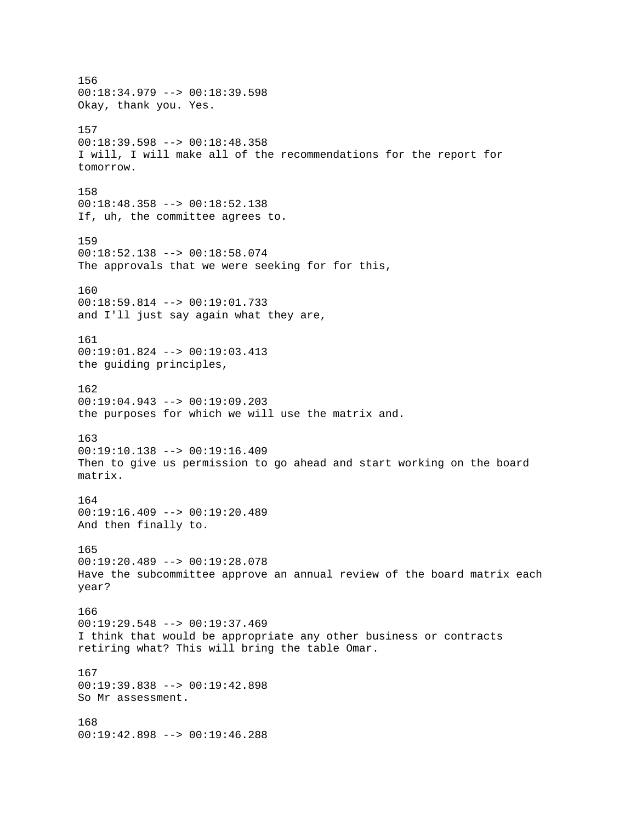156  $00:18:34.979$  -->  $00:18:39.598$ Okay, thank you. Yes. 157 00:18:39.598 --> 00:18:48.358 I will, I will make all of the recommendations for the report for tomorrow. 158 00:18:48.358 --> 00:18:52.138 If, uh, the committee agrees to. 159 00:18:52.138 --> 00:18:58.074 The approvals that we were seeking for for this, 160 00:18:59.814 --> 00:19:01.733 and I'll just say again what they are, 161 00:19:01.824 --> 00:19:03.413 the guiding principles, 162  $00:19:04.943$  -->  $00:19:09.203$ the purposes for which we will use the matrix and. 163 00:19:10.138 --> 00:19:16.409 Then to give us permission to go ahead and start working on the board matrix. 164 00:19:16.409 --> 00:19:20.489 And then finally to. 165 00:19:20.489 --> 00:19:28.078 Have the subcommittee approve an annual review of the board matrix each year? 166 00:19:29.548 --> 00:19:37.469 I think that would be appropriate any other business or contracts retiring what? This will bring the table Omar. 167 00:19:39.838 --> 00:19:42.898 So Mr assessment. 168 00:19:42.898 --> 00:19:46.288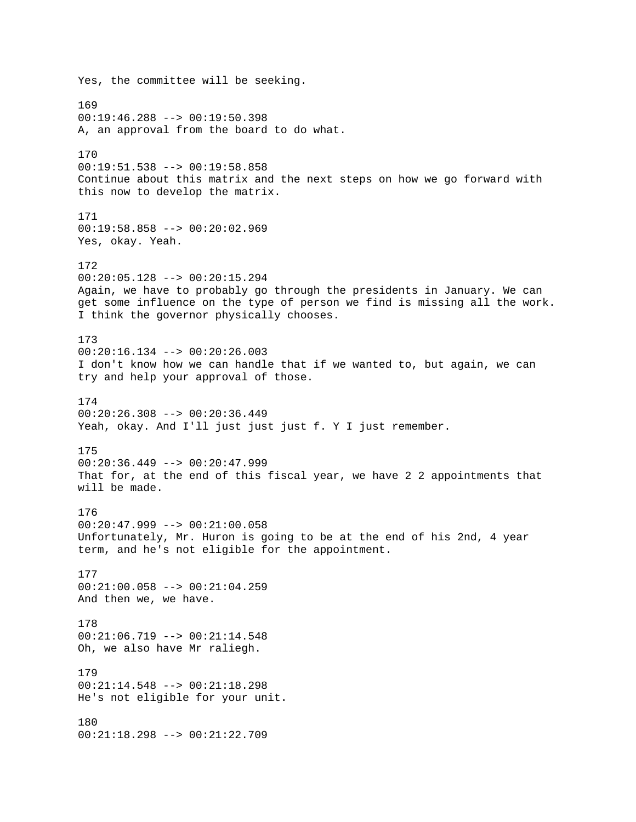Yes, the committee will be seeking. 169 00:19:46.288 --> 00:19:50.398 A, an approval from the board to do what. 170 00:19:51.538 --> 00:19:58.858 Continue about this matrix and the next steps on how we go forward with this now to develop the matrix. 171 00:19:58.858 --> 00:20:02.969 Yes, okay. Yeah. 172 00:20:05.128 --> 00:20:15.294 Again, we have to probably go through the presidents in January. We can get some influence on the type of person we find is missing all the work. I think the governor physically chooses. 173 00:20:16.134 --> 00:20:26.003 I don't know how we can handle that if we wanted to, but again, we can try and help your approval of those. 174 00:20:26.308 --> 00:20:36.449 Yeah, okay. And I'll just just just f. Y I just remember. 175 00:20:36.449 --> 00:20:47.999 That for, at the end of this fiscal year, we have 2 2 appointments that will be made. 176 00:20:47.999 --> 00:21:00.058 Unfortunately, Mr. Huron is going to be at the end of his 2nd, 4 year term, and he's not eligible for the appointment. 177 00:21:00.058 --> 00:21:04.259 And then we, we have. 178 00:21:06.719 --> 00:21:14.548 Oh, we also have Mr raliegh. 179 00:21:14.548 --> 00:21:18.298 He's not eligible for your unit. 180 00:21:18.298 --> 00:21:22.709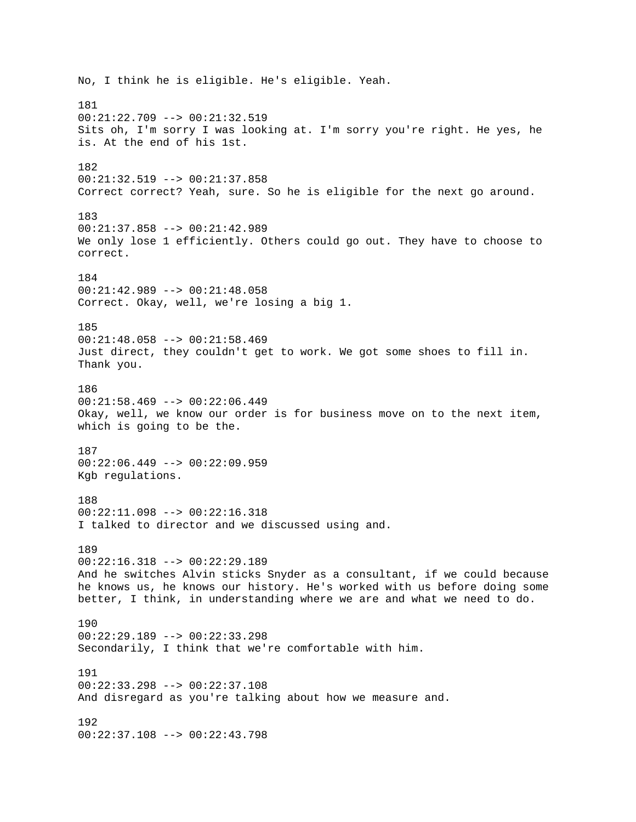No, I think he is eligible. He's eligible. Yeah. 181 00:21:22.709 --> 00:21:32.519 Sits oh, I'm sorry I was looking at. I'm sorry you're right. He yes, he is. At the end of his 1st. 182 00:21:32.519 --> 00:21:37.858 Correct correct? Yeah, sure. So he is eligible for the next go around. 183 00:21:37.858 --> 00:21:42.989 We only lose 1 efficiently. Others could go out. They have to choose to correct. 184 00:21:42.989 --> 00:21:48.058 Correct. Okay, well, we're losing a big 1. 185 00:21:48.058 --> 00:21:58.469 Just direct, they couldn't get to work. We got some shoes to fill in. Thank you. 186  $00:21:58.469$  -->  $00:22:06.449$ Okay, well, we know our order is for business move on to the next item, which is going to be the. 187 00:22:06.449 --> 00:22:09.959 Kgb regulations. 188 00:22:11.098 --> 00:22:16.318 I talked to director and we discussed using and. 189  $00:22:16.318$  -->  $00:22:29.189$ And he switches Alvin sticks Snyder as a consultant, if we could because he knows us, he knows our history. He's worked with us before doing some better, I think, in understanding where we are and what we need to do. 190 00:22:29.189 --> 00:22:33.298 Secondarily, I think that we're comfortable with him. 191 00:22:33.298 --> 00:22:37.108 And disregard as you're talking about how we measure and. 192 00:22:37.108 --> 00:22:43.798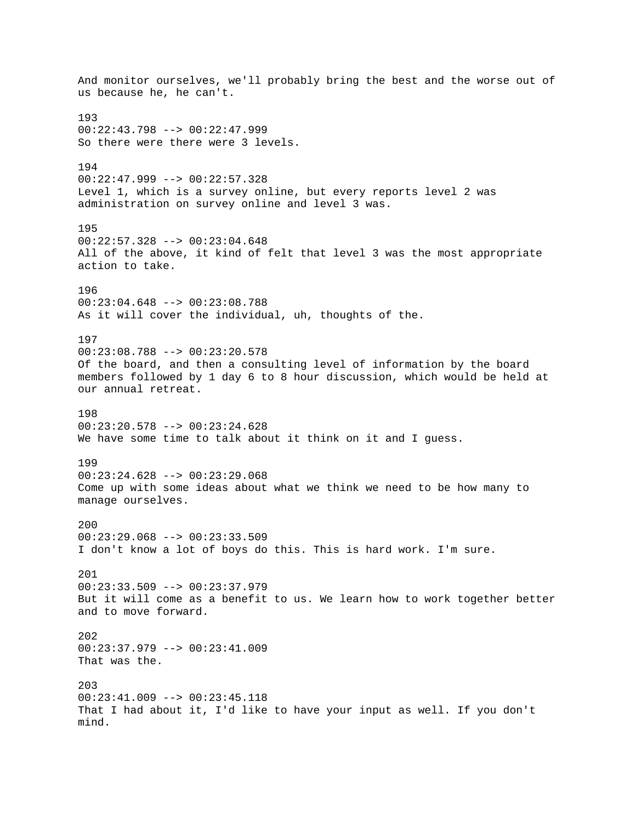And monitor ourselves, we'll probably bring the best and the worse out of us because he, he can't. 193 00:22:43.798 --> 00:22:47.999 So there were there were 3 levels. 194 00:22:47.999 --> 00:22:57.328 Level 1, which is a survey online, but every reports level 2 was administration on survey online and level 3 was. 195 00:22:57.328 --> 00:23:04.648 All of the above, it kind of felt that level 3 was the most appropriate action to take. 196 00:23:04.648 --> 00:23:08.788 As it will cover the individual, uh, thoughts of the. 197 00:23:08.788 --> 00:23:20.578 Of the board, and then a consulting level of information by the board members followed by 1 day 6 to 8 hour discussion, which would be held at our annual retreat. 198 00:23:20.578 --> 00:23:24.628 We have some time to talk about it think on it and I guess. 199 00:23:24.628 --> 00:23:29.068 Come up with some ideas about what we think we need to be how many to manage ourselves. 200 00:23:29.068 --> 00:23:33.509 I don't know a lot of boys do this. This is hard work. I'm sure. 201 00:23:33.509 --> 00:23:37.979 But it will come as a benefit to us. We learn how to work together better and to move forward. 202 00:23:37.979 --> 00:23:41.009 That was the. 203 00:23:41.009 --> 00:23:45.118 That I had about it, I'd like to have your input as well. If you don't mind.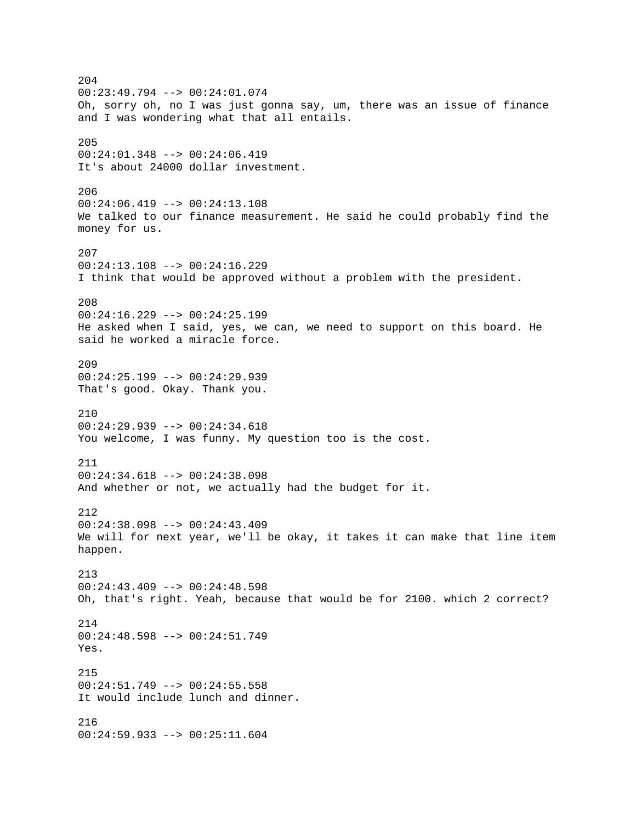204 00:23:49.794 --> 00:24:01.074 Oh, sorry oh, no I was just gonna say, um, there was an issue of finance and I was wondering what that all entails. 205 00:24:01.348 --> 00:24:06.419 It's about 24000 dollar investment. 206 00:24:06.419 --> 00:24:13.108 We talked to our finance measurement. He said he could probably find the money for us. 207 00:24:13.108 --> 00:24:16.229 I think that would be approved without a problem with the president. 208 00:24:16.229 --> 00:24:25.199 He asked when I said, yes, we can, we need to support on this board. He said he worked a miracle force. 209 00:24:25.199 --> 00:24:29.939 That's good. Okay. Thank you. 210 00:24:29.939 --> 00:24:34.618 You welcome, I was funny. My question too is the cost. 211 00:24:34.618 --> 00:24:38.098 And whether or not, we actually had the budget for it. 212 00:24:38.098 --> 00:24:43.409 We will for next year, we'll be okay, it takes it can make that line item happen. 213 00:24:43.409 --> 00:24:48.598 Oh, that's right. Yeah, because that would be for 2100. which 2 correct? 214 00:24:48.598 --> 00:24:51.749 Yes. 215 00:24:51.749 --> 00:24:55.558 It would include lunch and dinner. 216 00:24:59.933 --> 00:25:11.604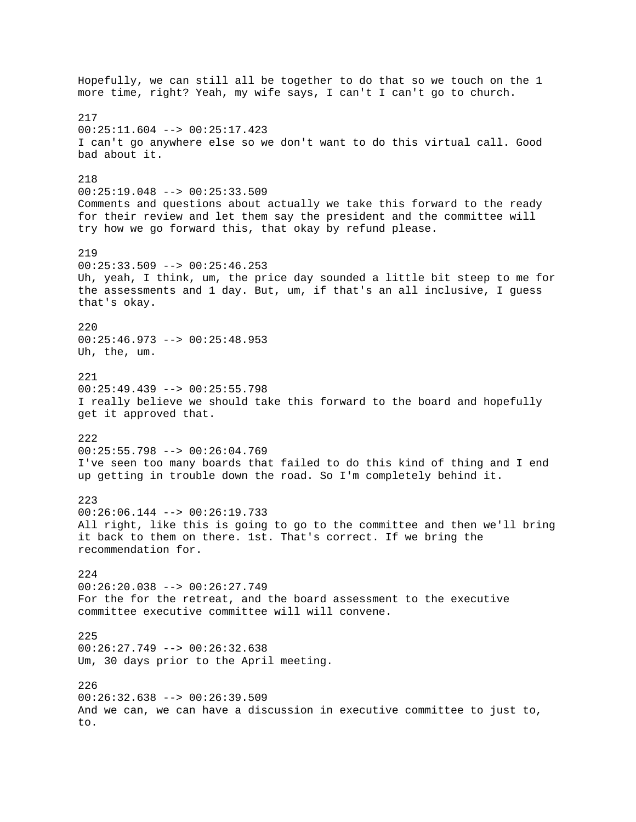Hopefully, we can still all be together to do that so we touch on the 1 more time, right? Yeah, my wife says, I can't I can't go to church. 217  $00:25:11.604$  -->  $00:25:17.423$ I can't go anywhere else so we don't want to do this virtual call. Good bad about it. 218 00:25:19.048 --> 00:25:33.509 Comments and questions about actually we take this forward to the ready for their review and let them say the president and the committee will try how we go forward this, that okay by refund please. 219 00:25:33.509 --> 00:25:46.253 Uh, yeah, I think, um, the price day sounded a little bit steep to me for the assessments and 1 day. But, um, if that's an all inclusive, I guess that's okay. 220  $00:25:46.973$  -->  $00:25:48.953$ Uh, the, um. 221 00:25:49.439 --> 00:25:55.798 I really believe we should take this forward to the board and hopefully get it approved that. 222 00:25:55.798 --> 00:26:04.769 I've seen too many boards that failed to do this kind of thing and I end up getting in trouble down the road. So I'm completely behind it. 223  $00:26:06.144$  -->  $00:26:19.733$ All right, like this is going to go to the committee and then we'll bring it back to them on there. 1st. That's correct. If we bring the recommendation for.  $224$ 00:26:20.038 --> 00:26:27.749 For the for the retreat, and the board assessment to the executive committee executive committee will will convene. 225 00:26:27.749 --> 00:26:32.638 Um, 30 days prior to the April meeting. 226 00:26:32.638 --> 00:26:39.509 And we can, we can have a discussion in executive committee to just to, to.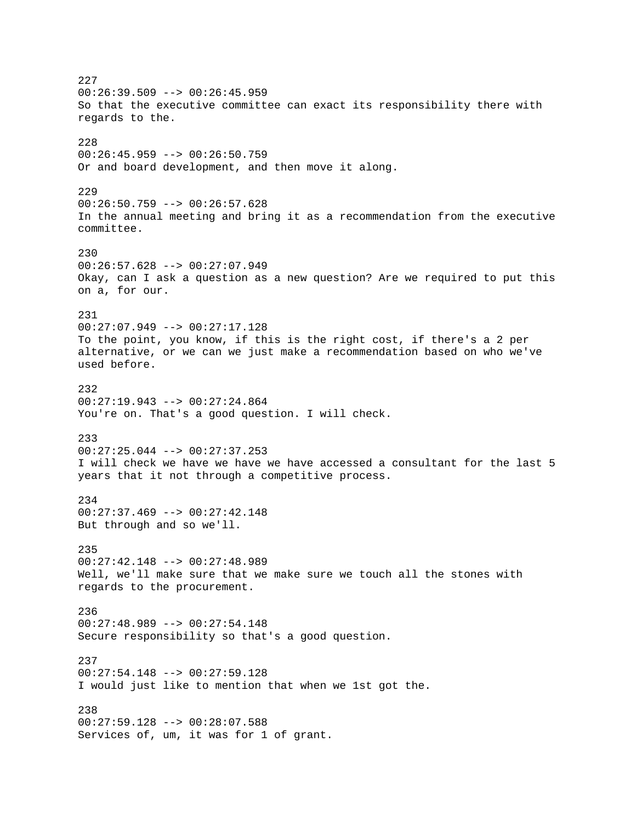227  $00:26:39.509$  -->  $00:26:45.959$ So that the executive committee can exact its responsibility there with regards to the. 228 00:26:45.959 --> 00:26:50.759 Or and board development, and then move it along. 229 00:26:50.759 --> 00:26:57.628 In the annual meeting and bring it as a recommendation from the executive committee. 230 00:26:57.628 --> 00:27:07.949 Okay, can I ask a question as a new question? Are we required to put this on a, for our. 231 00:27:07.949 --> 00:27:17.128 To the point, you know, if this is the right cost, if there's a 2 per alternative, or we can we just make a recommendation based on who we've used before. 232 00:27:19.943 --> 00:27:24.864 You're on. That's a good question. I will check. 233 00:27:25.044 --> 00:27:37.253 I will check we have we have we have accessed a consultant for the last 5 years that it not through a competitive process. 234 00:27:37.469 --> 00:27:42.148 But through and so we'll. 235 00:27:42.148 --> 00:27:48.989 Well, we'll make sure that we make sure we touch all the stones with regards to the procurement. 236  $00:27:48.989$  -->  $00:27:54.148$ Secure responsibility so that's a good question. 237 00:27:54.148 --> 00:27:59.128 I would just like to mention that when we 1st got the. 238 00:27:59.128 --> 00:28:07.588 Services of, um, it was for 1 of grant.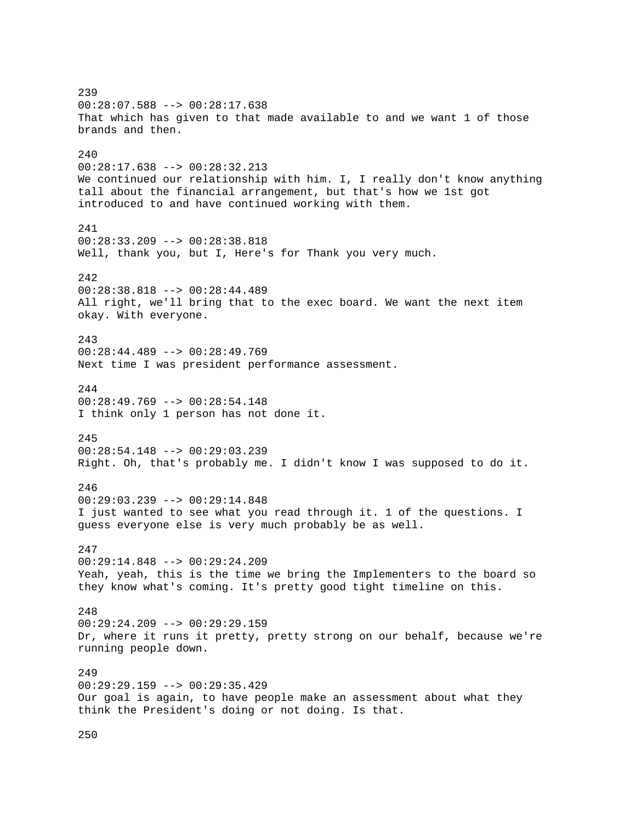239 00:28:07.588 --> 00:28:17.638 That which has given to that made available to and we want 1 of those brands and then.  $240$ 00:28:17.638 --> 00:28:32.213 We continued our relationship with him. I, I really don't know anything tall about the financial arrangement, but that's how we 1st got introduced to and have continued working with them. 241 00:28:33.209 --> 00:28:38.818 Well, thank you, but I, Here's for Thank you very much. 242 00:28:38.818 --> 00:28:44.489 All right, we'll bring that to the exec board. We want the next item okay. With everyone. 243 00:28:44.489 --> 00:28:49.769 Next time I was president performance assessment. 244  $00:28:49.769$  -->  $00:28:54.148$ I think only 1 person has not done it. 245 00:28:54.148 --> 00:29:03.239 Right. Oh, that's probably me. I didn't know I was supposed to do it. 246 00:29:03.239 --> 00:29:14.848 I just wanted to see what you read through it. 1 of the questions. I guess everyone else is very much probably be as well. 247 00:29:14.848 --> 00:29:24.209 Yeah, yeah, this is the time we bring the Implementers to the board so they know what's coming. It's pretty good tight timeline on this. 248  $00:29:24.209$  -->  $00:29:29.159$ Dr, where it runs it pretty, pretty strong on our behalf, because we're running people down. 249 00:29:29.159 --> 00:29:35.429 Our goal is again, to have people make an assessment about what they think the President's doing or not doing. Is that.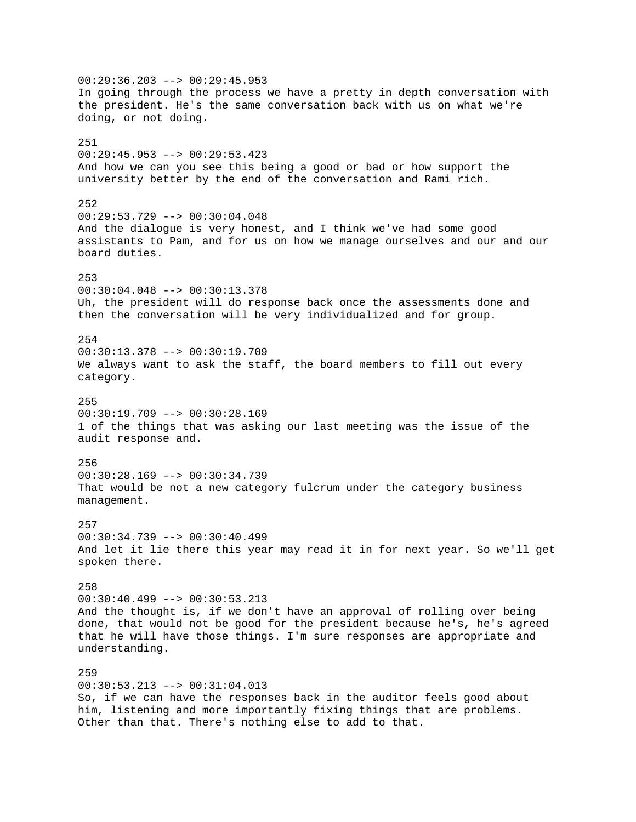$00:29:36.203$  -->  $00:29:45.953$ In going through the process we have a pretty in depth conversation with the president. He's the same conversation back with us on what we're doing, or not doing. 251 00:29:45.953 --> 00:29:53.423 And how we can you see this being a good or bad or how support the university better by the end of the conversation and Rami rich. 252 00:29:53.729 --> 00:30:04.048 And the dialogue is very honest, and I think we've had some good assistants to Pam, and for us on how we manage ourselves and our and our board duties. 253 00:30:04.048 --> 00:30:13.378 Uh, the president will do response back once the assessments done and then the conversation will be very individualized and for group. 254 00:30:13.378 --> 00:30:19.709 We always want to ask the staff, the board members to fill out every category. 255  $00:30:19.709$  -->  $00:30:28.169$ 1 of the things that was asking our last meeting was the issue of the audit response and. 256 00:30:28.169 --> 00:30:34.739 That would be not a new category fulcrum under the category business management. 257 00:30:34.739 --> 00:30:40.499 And let it lie there this year may read it in for next year. So we'll get spoken there. 258 00:30:40.499 --> 00:30:53.213 And the thought is, if we don't have an approval of rolling over being done, that would not be good for the president because he's, he's agreed that he will have those things. I'm sure responses are appropriate and understanding. 259 00:30:53.213 --> 00:31:04.013 So, if we can have the responses back in the auditor feels good about him, listening and more importantly fixing things that are problems. Other than that. There's nothing else to add to that.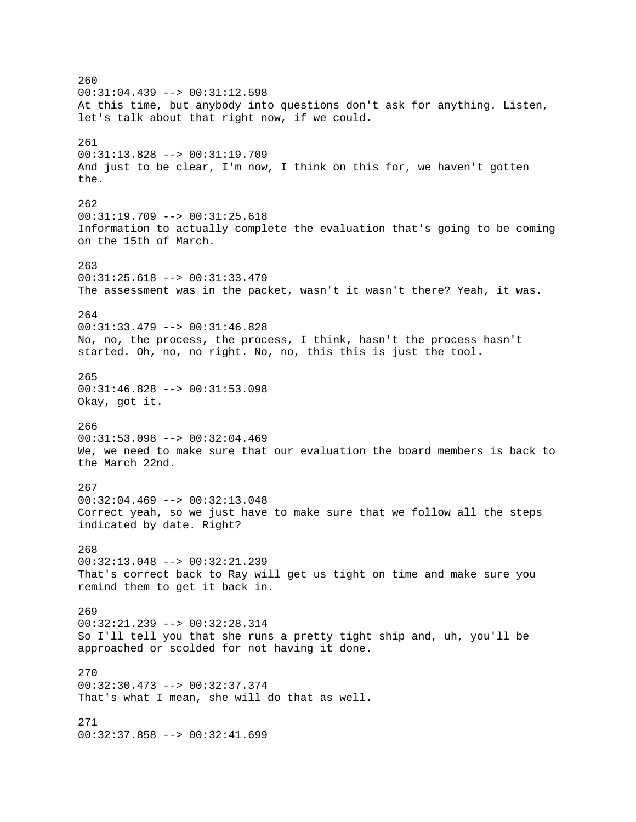260  $00:31:04.439$  -->  $00:31:12.598$ At this time, but anybody into questions don't ask for anything. Listen, let's talk about that right now, if we could. 261 00:31:13.828 --> 00:31:19.709 And just to be clear, I'm now, I think on this for, we haven't gotten the. 262 00:31:19.709 --> 00:31:25.618 Information to actually complete the evaluation that's going to be coming on the 15th of March. 263 00:31:25.618 --> 00:31:33.479 The assessment was in the packet, wasn't it wasn't there? Yeah, it was. 264 00:31:33.479 --> 00:31:46.828 No, no, the process, the process, I think, hasn't the process hasn't started. Oh, no, no right. No, no, this this is just the tool. 265 00:31:46.828 --> 00:31:53.098 Okay, got it. 266 00:31:53.098 --> 00:32:04.469 We, we need to make sure that our evaluation the board members is back to the March 22nd. 267 00:32:04.469 --> 00:32:13.048 Correct yeah, so we just have to make sure that we follow all the steps indicated by date. Right? 268 00:32:13.048 --> 00:32:21.239 That's correct back to Ray will get us tight on time and make sure you remind them to get it back in. 269  $00:32:21.239$  -->  $00:32:28.314$ So I'll tell you that she runs a pretty tight ship and, uh, you'll be approached or scolded for not having it done. 270 00:32:30.473 --> 00:32:37.374 That's what I mean, she will do that as well. 271 00:32:37.858 --> 00:32:41.699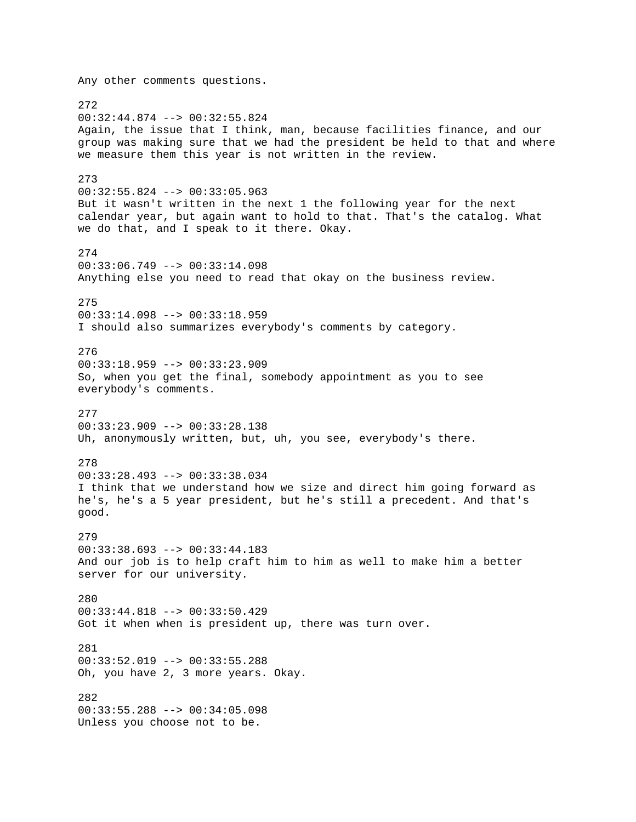Any other comments questions. 272 00:32:44.874 --> 00:32:55.824 Again, the issue that I think, man, because facilities finance, and our group was making sure that we had the president be held to that and where we measure them this year is not written in the review. 273 00:32:55.824 --> 00:33:05.963 But it wasn't written in the next 1 the following year for the next calendar year, but again want to hold to that. That's the catalog. What we do that, and I speak to it there. Okay. 274  $00:33:06.749 --& 00:33:14.098$ Anything else you need to read that okay on the business review. 275 00:33:14.098 --> 00:33:18.959 I should also summarizes everybody's comments by category. 276 00:33:18.959 --> 00:33:23.909 So, when you get the final, somebody appointment as you to see everybody's comments. 277 00:33:23.909 --> 00:33:28.138 Uh, anonymously written, but, uh, you see, everybody's there. 278 00:33:28.493 --> 00:33:38.034 I think that we understand how we size and direct him going forward as he's, he's a 5 year president, but he's still a precedent. And that's good. 279 00:33:38.693 --> 00:33:44.183 And our job is to help craft him to him as well to make him a better server for our university. 280 00:33:44.818 --> 00:33:50.429 Got it when when is president up, there was turn over. 281  $00:33:52.019$  -->  $00:33:55.288$ Oh, you have 2, 3 more years. Okay. 282 00:33:55.288 --> 00:34:05.098 Unless you choose not to be.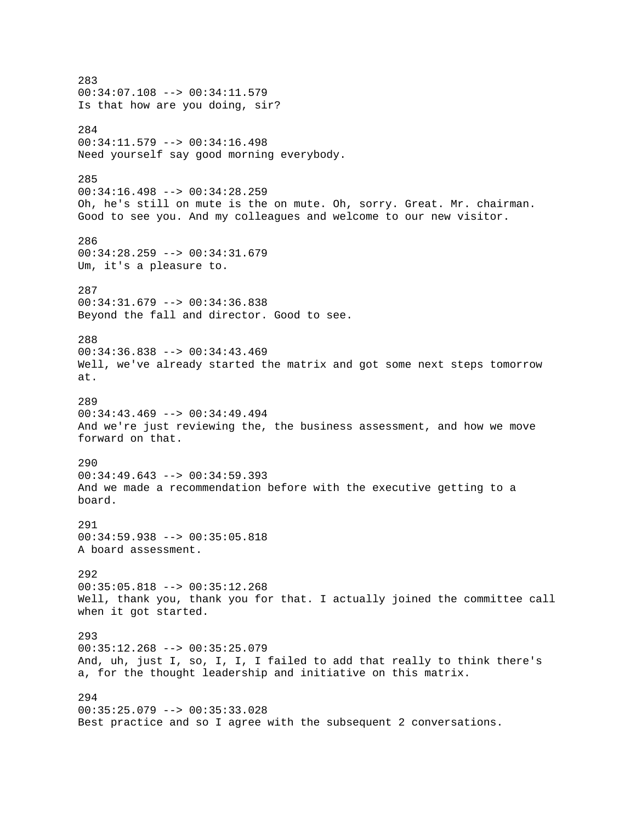283 00:34:07.108 --> 00:34:11.579 Is that how are you doing, sir? 284 00:34:11.579 --> 00:34:16.498 Need yourself say good morning everybody. 285 00:34:16.498 --> 00:34:28.259 Oh, he's still on mute is the on mute. Oh, sorry. Great. Mr. chairman. Good to see you. And my colleagues and welcome to our new visitor. 286 00:34:28.259 --> 00:34:31.679 Um, it's a pleasure to. 287 00:34:31.679 --> 00:34:36.838 Beyond the fall and director. Good to see. 288 00:34:36.838 --> 00:34:43.469 Well, we've already started the matrix and got some next steps tomorrow at. 289  $00:34:43.469$  -->  $00:34:49.494$ And we're just reviewing the, the business assessment, and how we move forward on that. 290 00:34:49.643 --> 00:34:59.393 And we made a recommendation before with the executive getting to a board. 291 00:34:59.938 --> 00:35:05.818 A board assessment. 292 00:35:05.818 --> 00:35:12.268 Well, thank you, thank you for that. I actually joined the committee call when it got started. 293 00:35:12.268 --> 00:35:25.079 And, uh, just I, so, I, I, I failed to add that really to think there's a, for the thought leadership and initiative on this matrix. 294 00:35:25.079 --> 00:35:33.028 Best practice and so I agree with the subsequent 2 conversations.